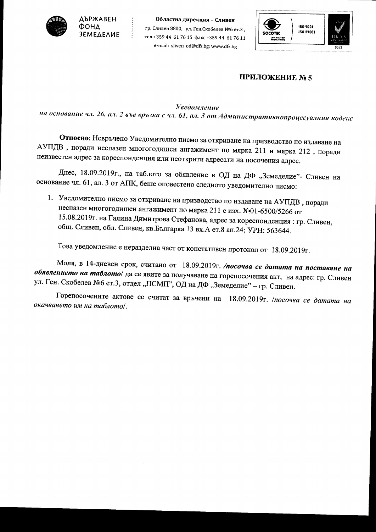

 $\begin{array}{c} \frac{1}{2} \\ \frac{1}{2} \end{array}$ 

Областна дирекция - Сливен гр. Сливен 8800, ул. Ген. Скобелев №6 ет. 3, тел.+359 44 61 76 15 факс +359 44 61 76 11 e-mail: sliven od@dfz.bg; www.dfz.bg



## ПРИЛОЖЕНИЕ № 5

**Уведомление** 

на основание чл. 26, ал. 2 във връзка с чл. 61, ал. 3 от Административнопроцесуалния кодекс

Относно: Невръчено Уведомително писмо за откриване на призводство по издаване на АУПДВ, поради неспазен многогодишен ангажимент по мярка 211 и мярка 212, поради неизвестен адрес за кореспонденция или неоткрити адресати на посочения адрес.

Днес, 18.09.2019г., на таблото за обявление в ОД на ДФ "Земеделие"- Сливен на основание чл. 61, ал. 3 от АПК, беше оповестено следното уведомително писмо:

1. Уведомително писмо за откриване на призводство по издаване на АУПДВ, поради неспазен многогодишен ангажимент по мярка 211 с изх. №01-6500/5266 от 15.08.2019г. на Галина Димитрова Стефанова, адрес за кореспонденция: гр. Сливен, общ. Сливен, обл. Сливен, кв. Българка 13 вх. А ет. 8 ап. 24; УРН: 563644.

Това уведомление е неразделна част от констативен протокол от 18.09.2019г.

Моля, в 14-дневен срок, считано от 18.09.2019г. /посочва се датата на поставяне на обявлението на таблото/ да се явите за получаване на горепосочения акт, на адрес: гр. Сливен ул. Ген. Скобелев №6 ет.3, отдел "ПСМП", ОД на ДФ "Земеделие" - гр. Сливен.

Горепосочените актове се считат за връчени на 18.09.2019г. /посочва се датата на окачването им на таблото/.